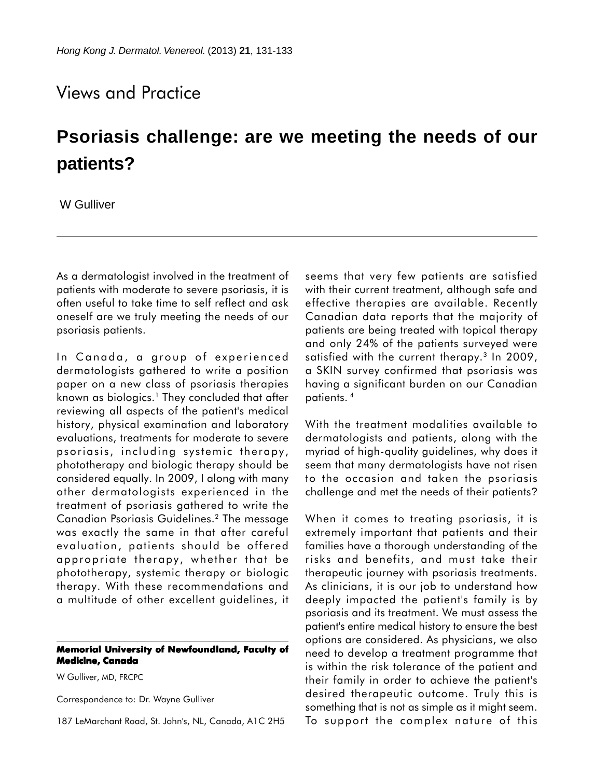## Views and Practice

## **Psoriasis challenge: are we meeting the needs of our patients?**

W Gulliver

As a dermatologist involved in the treatment of patients with moderate to severe psoriasis, it is often useful to take time to self reflect and ask oneself are we truly meeting the needs of our psoriasis patients.

In Canada, a group of experienced dermatologists gathered to write a position paper on a new class of psoriasis therapies known as biologics.<sup>1</sup> They concluded that after reviewing all aspects of the patient's medical history, physical examination and laboratory evaluations, treatments for moderate to severe psoriasis, including systemic therapy, phototherapy and biologic therapy should be considered equally. In 2009, I along with many other dermatologists experienced in the treatment of psoriasis gathered to write the Canadian Psoriasis Guidelines.2 The message was exactly the same in that after careful evaluation, patients should be offered appropriate therapy, whether that be phototherapy, systemic therapy or biologic therapy. With these recommendations and a multitude of other excellent guidelines, it

## **Memorial University of Newfoundland, Faculty of Medicine, Canada**

W Gulliver, MD, FRCPC

Correspondence to: Dr. Wayne Gulliver

187 LeMarchant Road, St. John's, NL, Canada, A1C 2H5

seems that very few patients are satisfied with their current treatment, although safe and effective therapies are available. Recently Canadian data reports that the majority of patients are being treated with topical therapy and only 24% of the patients surveyed were satisfied with the current therapy.<sup>3</sup> In 2009, a SKIN survey confirmed that psoriasis was having a significant burden on our Canadian patients. 4

With the treatment modalities available to dermatologists and patients, along with the myriad of high-quality guidelines, why does it seem that many dermatologists have not risen to the occasion and taken the psoriasis challenge and met the needs of their patients?

When it comes to treating psoriasis, it is extremely important that patients and their families have a thorough understanding of the risks and benefits, and must take their therapeutic journey with psoriasis treatments. As clinicians, it is our job to understand how deeply impacted the patient's family is by psoriasis and its treatment. We must assess the patient's entire medical history to ensure the best options are considered. As physicians, we also need to develop a treatment programme that is within the risk tolerance of the patient and their family in order to achieve the patient's desired therapeutic outcome. Truly this is something that is not as simple as it might seem. To support the complex nature of this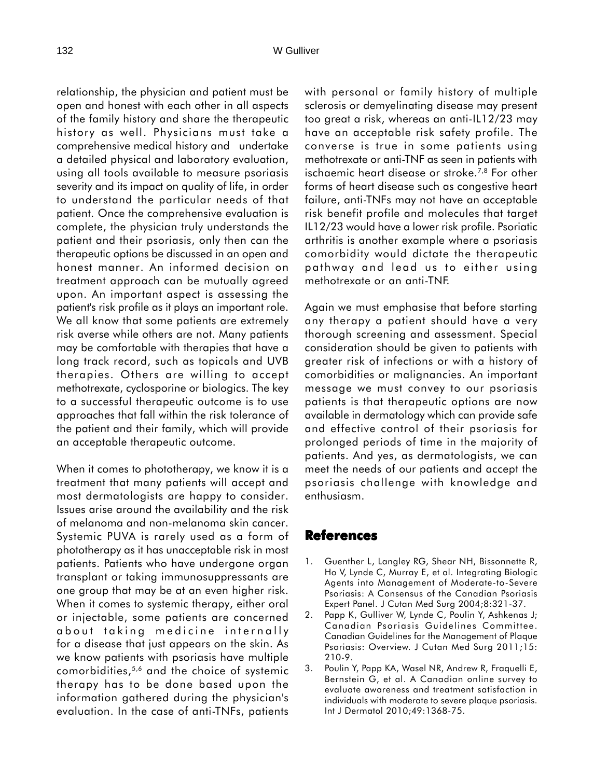relationship, the physician and patient must be open and honest with each other in all aspects of the family history and share the therapeutic history as well. Physicians must take a comprehensive medical history and undertake a detailed physical and laboratory evaluation, using all tools available to measure psoriasis severity and its impact on quality of life, in order to understand the particular needs of that patient. Once the comprehensive evaluation is complete, the physician truly understands the patient and their psoriasis, only then can the therapeutic options be discussed in an open and honest manner. An informed decision on treatment approach can be mutually agreed upon. An important aspect is assessing the patient's risk profile as it plays an important role. We all know that some patients are extremely risk averse while others are not. Many patients may be comfortable with therapies that have a long track record, such as topicals and UVB therapies. Others are willing to accept methotrexate, cyclosporine or biologics. The key to a successful therapeutic outcome is to use approaches that fall within the risk tolerance of the patient and their family, which will provide an acceptable therapeutic outcome.

When it comes to phototherapy, we know it is a treatment that many patients will accept and most dermatologists are happy to consider. Issues arise around the availability and the risk of melanoma and non-melanoma skin cancer. Systemic PUVA is rarely used as a form of phototherapy as it has unacceptable risk in most patients. Patients who have undergone organ transplant or taking immunosuppressants are one group that may be at an even higher risk. When it comes to systemic therapy, either oral or injectable, some patients are concerned about taking medicine internally for a disease that just appears on the skin. As we know patients with psoriasis have multiple comorbidities,5,6 and the choice of systemic therapy has to be done based upon the information gathered during the physician's evaluation. In the case of anti-TNFs, patients

with personal or family history of multiple sclerosis or demyelinating disease may present too great a risk, whereas an anti-IL12/23 may have an acceptable risk safety profile. The converse is true in some patients using methotrexate or anti-TNF as seen in patients with ischaemic heart disease or stroke.7,8 For other forms of heart disease such as congestive heart failure, anti-TNFs may not have an acceptable risk benefit profile and molecules that target IL12/23 would have a lower risk profile. Psoriatic arthritis is another example where a psoriasis comorbidity would dictate the therapeutic pathway and lead us to either using methotrexate or an anti-TNF.

Again we must emphasise that before starting any therapy a patient should have a very thorough screening and assessment. Special consideration should be given to patients with greater risk of infections or with a history of comorbidities or malignancies. An important message we must convey to our psoriasis patients is that therapeutic options are now available in dermatology which can provide safe and effective control of their psoriasis for prolonged periods of time in the majority of patients. And yes, as dermatologists, we can meet the needs of our patients and accept the psoriasis challenge with knowledge and enthusiasm.

## **References**

- 1. Guenther L, Langley RG, Shear NH, Bissonnette R, Ho V, Lynde C, Murray E, et al. Integrating Biologic Agents into Management of Moderate-to-Severe Psoriasis: A Consensus of the Canadian Psoriasis Expert Panel. J Cutan Med Surg 2004;8:321-37.
- 2. Papp K, Gulliver W, Lynde C, Poulin Y, Ashkenas J; Canadian Psoriasis Guidelines Committee. Canadian Guidelines for the Management of Plaque Psoriasis: Overview. J Cutan Med Surg 2011;15: 210-9.
- 3. Poulin Y, Papp KA, Wasel NR, Andrew R, Fraquelli E, Bernstein G, et al. A Canadian online survey to evaluate awareness and treatment satisfaction in individuals with moderate to severe plaque psoriasis. Int J Dermatol 2010;49:1368-75.